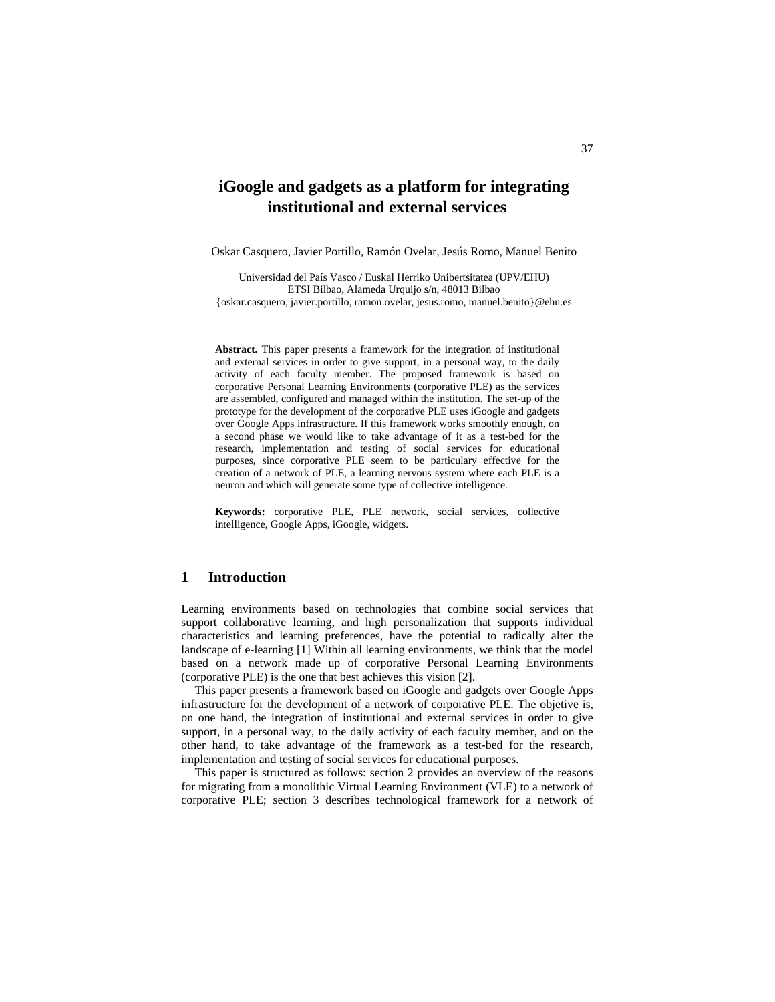# **iGoogle and gadgets as a platform for integrating institutional and external services**

Oskar Casquero, Javier Portillo, Ramón Ovelar, Jesús Romo, Manuel Benito

Universidad del País Vasco / Euskal Herriko Unibertsitatea (UPV/EHU) ETSI Bilbao, Alameda Urquijo s/n, 48013 Bilbao {oskar.casquero, javier.portillo, ramon.ovelar, jesus.romo, manuel.benito}@ehu.es

**Abstract.** This paper presents a framework for the integration of institutional and external services in order to give support, in a personal way, to the daily activity of each faculty member. The proposed framework is based on corporative Personal Learning Environments (corporative PLE) as the services are assembled, configured and managed within the institution. The set-up of the prototype for the development of the corporative PLE uses iGoogle and gadgets over Google Apps infrastructure. If this framework works smoothly enough, on a second phase we would like to take advantage of it as a test-bed for the research, implementation and testing of social services for educational purposes, since corporative PLE seem to be particulary effective for the creation of a network of PLE, a learning nervous system where each PLE is a neuron and which will generate some type of collective intelligence.

**Keywords:** corporative PLE, PLE network, social services, collective intelligence, Google Apps, iGoogle, widgets.

# **1 Introduction**

Learning environments based on technologies that combine social services that support collaborative learning, and high personalization that supports individual characteristics and learning preferences, have the potential to radically alter the landscape of e-learning [1] Within all learning environments, we think that the model based on a network made up of corporative Personal Learning Environments (corporative PLE) is the one that best achieves this vision [2].

This paper presents a framework based on iGoogle and gadgets over Google Apps infrastructure for the development of a network of corporative PLE. The objetive is, on one hand, the integration of institutional and external services in order to give support, in a personal way, to the daily activity of each faculty member, and on the other hand, to take advantage of the framework as a test-bed for the research, implementation and testing of social services for educational purposes.

This paper is structured as follows: section 2 provides an overview of the reasons for migrating from a monolithic Virtual Learning Environment (VLE) to a network of corporative PLE; section 3 describes technological framework for a network of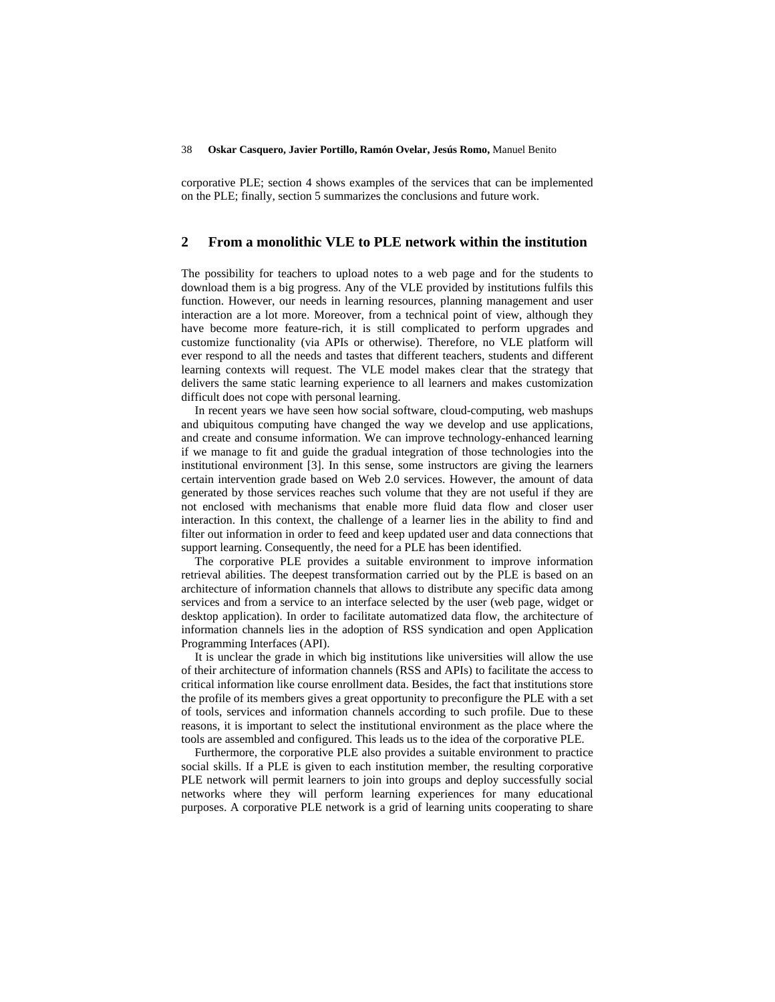#### 38 **Oskar Casquero, Javier Portillo, Ramón Ovelar, Jesús Romo,** Manuel Benito

corporative PLE; section 4 shows examples of the services that can be implemented on the PLE; finally, section 5 summarizes the conclusions and future work.

# **2 From a monolithic VLE to PLE network within the institution**

The possibility for teachers to upload notes to a web page and for the students to download them is a big progress. Any of the VLE provided by institutions fulfils this function. However, our needs in learning resources, planning management and user interaction are a lot more. Moreover, from a technical point of view, although they have become more feature-rich, it is still complicated to perform upgrades and customize functionality (via APIs or otherwise). Therefore, no VLE platform will ever respond to all the needs and tastes that different teachers, students and different learning contexts will request. The VLE model makes clear that the strategy that delivers the same static learning experience to all learners and makes customization difficult does not cope with personal learning.

In recent years we have seen how social software, cloud-computing, web mashups and ubiquitous computing have changed the way we develop and use applications, and create and consume information. We can improve technology-enhanced learning if we manage to fit and guide the gradual integration of those technologies into the institutional environment [3]. In this sense, some instructors are giving the learners certain intervention grade based on Web 2.0 services. However, the amount of data generated by those services reaches such volume that they are not useful if they are not enclosed with mechanisms that enable more fluid data flow and closer user interaction. In this context, the challenge of a learner lies in the ability to find and filter out information in order to feed and keep updated user and data connections that support learning. Consequently, the need for a PLE has been identified.

The corporative PLE provides a suitable environment to improve information retrieval abilities. The deepest transformation carried out by the PLE is based on an architecture of information channels that allows to distribute any specific data among services and from a service to an interface selected by the user (web page, widget or desktop application). In order to facilitate automatized data flow, the architecture of information channels lies in the adoption of RSS syndication and open Application Programming Interfaces (API).

It is unclear the grade in which big institutions like universities will allow the use of their architecture of information channels (RSS and APIs) to facilitate the access to critical information like course enrollment data. Besides, the fact that institutions store the profile of its members gives a great opportunity to preconfigure the PLE with a set of tools, services and information channels according to such profile. Due to these reasons, it is important to select the institutional environment as the place where the tools are assembled and configured. This leads us to the idea of the corporative PLE.

Furthermore, the corporative PLE also provides a suitable environment to practice social skills. If a PLE is given to each institution member, the resulting corporative PLE network will permit learners to join into groups and deploy successfully social networks where they will perform learning experiences for many educational purposes. A corporative PLE network is a grid of learning units cooperating to share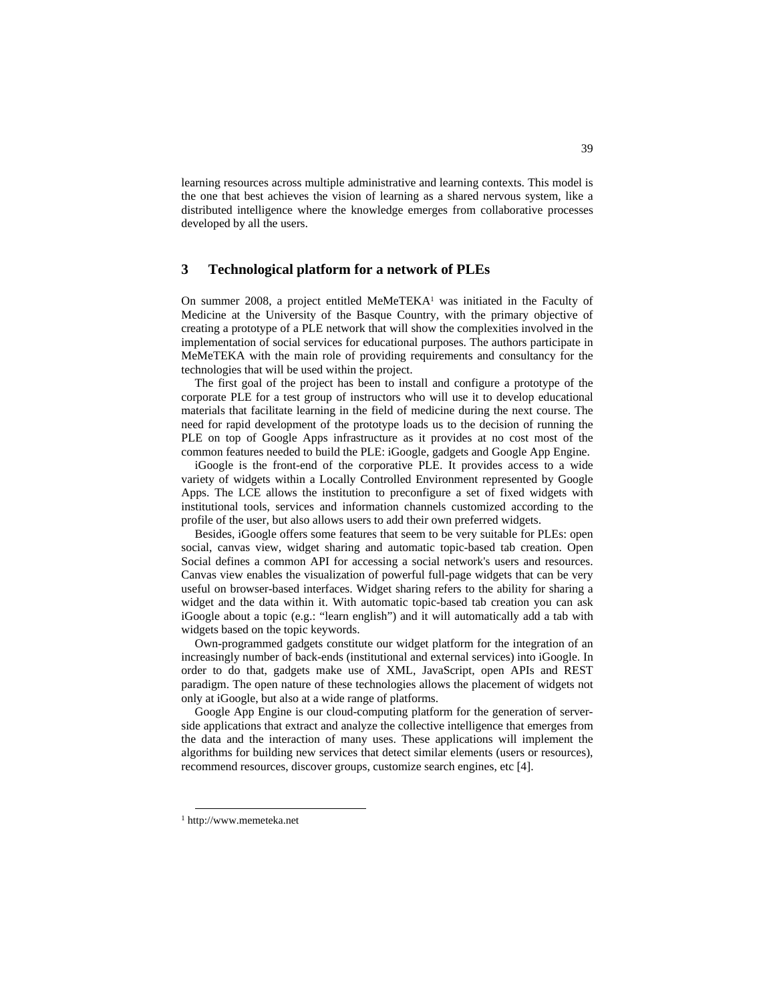learning resources across multiple administrative and learning contexts. This model is the one that best achieves the vision of learning as a shared nervous system, like a distributed intelligence where the knowledge emerges from collaborative processes developed by all the users.

# **3 Technological platform for a network of PLEs**

On summer 2008, a project entitled MeMeTEKA<sup>1</sup> was initiated in the Faculty of Medicine at the University of the Basque Country, with the primary objective of creating a prototype of a PLE network that will show the complexities involved in the implementation of social services for educational purposes. The authors participate in MeMeTEKA with the main role of providing requirements and consultancy for the technologies that will be used within the project.

The first goal of the project has been to install and configure a prototype of the corporate PLE for a test group of instructors who will use it to develop educational materials that facilitate learning in the field of medicine during the next course. The need for rapid development of the prototype loads us to the decision of running the PLE on top of Google Apps infrastructure as it provides at no cost most of the common features needed to build the PLE: iGoogle, gadgets and Google App Engine.

iGoogle is the front-end of the corporative PLE. It provides access to a wide variety of widgets within a Locally Controlled Environment represented by Google Apps. The LCE allows the institution to preconfigure a set of fixed widgets with institutional tools, services and information channels customized according to the profile of the user, but also allows users to add their own preferred widgets.

Besides, iGoogle offers some features that seem to be very suitable for PLEs: open social, canvas view, widget sharing and automatic topic-based tab creation. Open Social defines a common API for accessing a social network's users and resources. Canvas view enables the visualization of powerful full-page widgets that can be very useful on browser-based interfaces. Widget sharing refers to the ability for sharing a widget and the data within it. With automatic topic-based tab creation you can ask iGoogle about a topic (e.g.: "learn english") and it will automatically add a tab with widgets based on the topic keywords.

Own-programmed gadgets constitute our widget platform for the integration of an increasingly number of back-ends (institutional and external services) into iGoogle. In order to do that, gadgets make use of XML, JavaScript, open APIs and REST paradigm. The open nature of these technologies allows the placement of widgets not only at iGoogle, but also at a wide range of platforms.

Google App Engine is our cloud-computing platform for the generation of serverside applications that extract and analyze the collective intelligence that emerges from the data and the interaction of many uses. These applications will implement the algorithms for building new services that detect similar elements (users or resources), recommend resources, discover groups, customize search engines, etc [4].

 <sup>1</sup> http://www.memeteka.net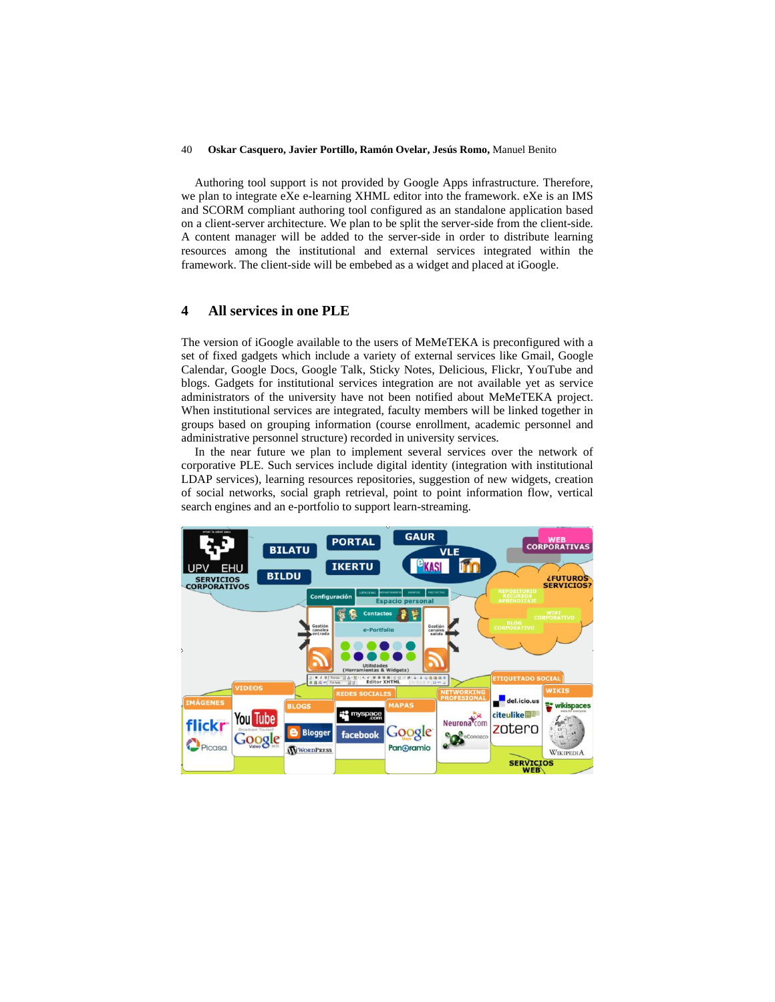#### 40 **Oskar Casquero, Javier Portillo, Ramón Ovelar, Jesús Romo,** Manuel Benito

Authoring tool support is not provided by Google Apps infrastructure. Therefore, we plan to integrate eXe e-learning XHML editor into the framework. eXe is an IMS and SCORM compliant authoring tool configured as an standalone application based on a client-server architecture. We plan to be split the server-side from the client-side. A content manager will be added to the server-side in order to distribute learning resources among the institutional and external services integrated within the framework. The client-side will be embebed as a widget and placed at iGoogle.

### **4 All services in one PLE**

The version of iGoogle available to the users of MeMeTEKA is preconfigured with a set of fixed gadgets which include a variety of external services like Gmail, Google Calendar, Google Docs, Google Talk, Sticky Notes, Delicious, Flickr, YouTube and blogs. Gadgets for institutional services integration are not available yet as service administrators of the university have not been notified about MeMeTEKA project. When institutional services are integrated, faculty members will be linked together in groups based on grouping information (course enrollment, academic personnel and administrative personnel structure) recorded in university services.

In the near future we plan to implement several services over the network of corporative PLE. Such services include digital identity (integration with institutional LDAP services), learning resources repositories, suggestion of new widgets, creation of social networks, social graph retrieval, point to point information flow, vertical search engines and an e-portfolio to support learn-streaming.